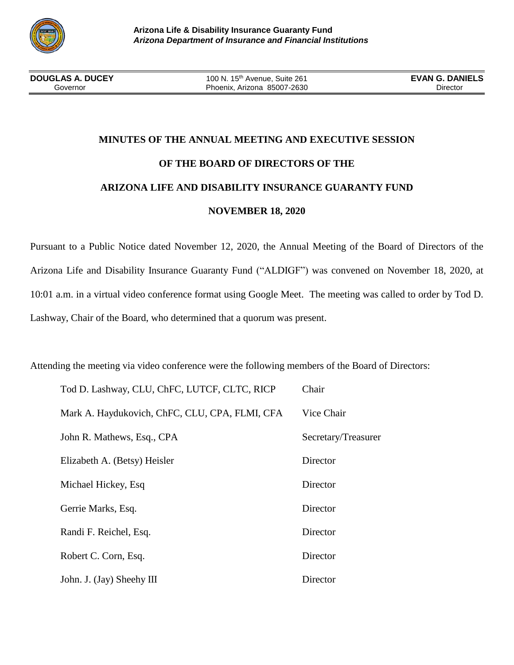

# **MINUTES OF THE ANNUAL MEETING AND EXECUTIVE SESSION OF THE BOARD OF DIRECTORS OF THE ARIZONA LIFE AND DISABILITY INSURANCE GUARANTY FUND NOVEMBER 18, 2020**

Pursuant to a Public Notice dated November 12, 2020, the Annual Meeting of the Board of Directors of the Arizona Life and Disability Insurance Guaranty Fund ("ALDIGF") was convened on November 18, 2020, at 10:01 a.m. in a virtual video conference format using Google Meet. The meeting was called to order by Tod D. Lashway, Chair of the Board, who determined that a quorum was present.

Attending the meeting via video conference were the following members of the Board of Directors:

| Tod D. Lashway, CLU, ChFC, LUTCF, CLTC, RICP   | Chair               |
|------------------------------------------------|---------------------|
| Mark A. Haydukovich, ChFC, CLU, CPA, FLMI, CFA | Vice Chair          |
| John R. Mathews, Esq., CPA                     | Secretary/Treasurer |
| Elizabeth A. (Betsy) Heisler                   | Director            |
| Michael Hickey, Esq                            | Director            |
| Gerrie Marks, Esq.                             | Director            |
| Randi F. Reichel, Esq.                         | Director            |
| Robert C. Corn, Esq.                           | Director            |
| John. J. (Jay) Sheehy III                      | Director            |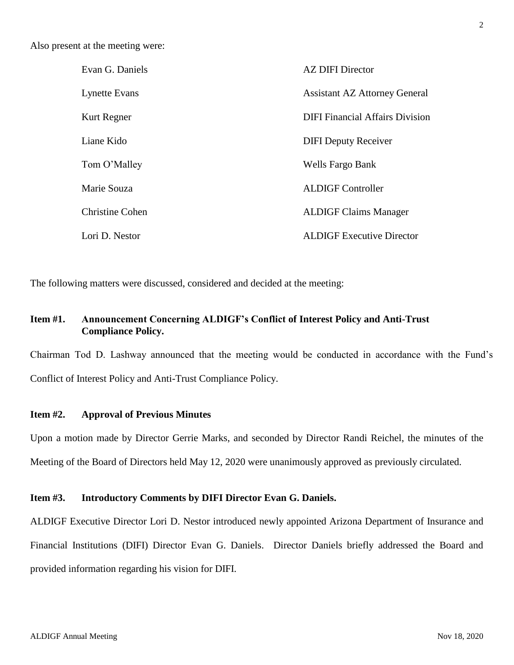Also present at the meeting were:

| Evan G. Daniels        | <b>AZ DIFI Director</b>                |
|------------------------|----------------------------------------|
| <b>Lynette Evans</b>   | <b>Assistant AZ Attorney General</b>   |
| Kurt Regner            | <b>DIFI Financial Affairs Division</b> |
| Liane Kido             | <b>DIFI Deputy Receiver</b>            |
| Tom O'Malley           | Wells Fargo Bank                       |
| Marie Souza            | <b>ALDIGF Controller</b>               |
| <b>Christine Cohen</b> | <b>ALDIGF Claims Manager</b>           |
| Lori D. Nestor         | <b>ALDIGF Executive Director</b>       |

The following matters were discussed, considered and decided at the meeting:

# **Item #1. Announcement Concerning ALDIGF's Conflict of Interest Policy and Anti-Trust Compliance Policy.**

Chairman Tod D. Lashway announced that the meeting would be conducted in accordance with the Fund's Conflict of Interest Policy and Anti-Trust Compliance Policy.

# **Item #2. Approval of Previous Minutes**

Upon a motion made by Director Gerrie Marks, and seconded by Director Randi Reichel, the minutes of the Meeting of the Board of Directors held May 12, 2020 were unanimously approved as previously circulated.

# **Item #3. Introductory Comments by DIFI Director Evan G. Daniels.**

ALDIGF Executive Director Lori D. Nestor introduced newly appointed Arizona Department of Insurance and Financial Institutions (DIFI) Director Evan G. Daniels. Director Daniels briefly addressed the Board and provided information regarding his vision for DIFI.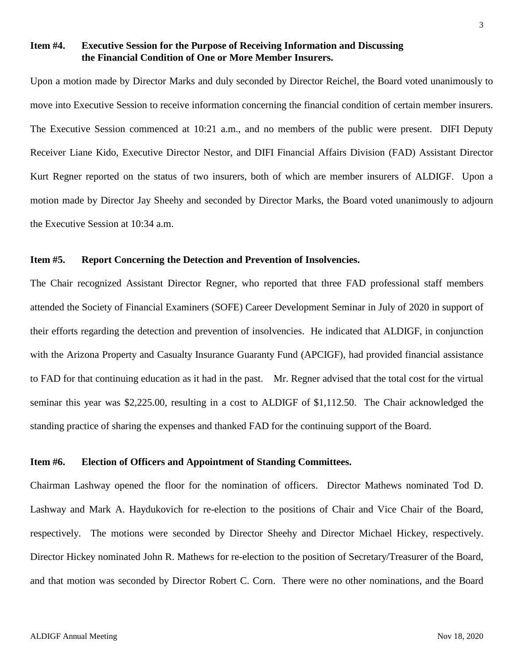## **Item #4. Executive Session for the Purpose of Receiving Information and Discussing the Financial Condition of One or More Member Insurers.**

Upon a motion made by Director Marks and duly seconded by Director Reichel, the Board voted unanimously to move into Executive Session to receive information concerning the financial condition of certain member insurers. The Executive Session commenced at 10:21 a.m., and no members of the public were present. DIFI Deputy Receiver Liane Kido, Executive Director Nestor, and DIFI Financial Affairs Division (FAD) Assistant Director Kurt Regner reported on the status of two insurers, both of which are member insurers of ALDIGF. Upon a motion made by Director Jay Sheehy and seconded by Director Marks, the Board voted unanimously to adjourn the Executive Session at 10:34 a.m.

## **Item #5. Report Concerning the Detection and Prevention of Insolvencies.**

The Chair recognized Assistant Director Regner, who reported that three FAD professional staff members attended the Society of Financial Examiners (SOFE) Career Development Seminar in July of 2020 in support of their efforts regarding the detection and prevention of insolvencies. He indicated that ALDIGF, in conjunction with the Arizona Property and Casualty Insurance Guaranty Fund (APCIGF), had provided financial assistance to FAD for that continuing education as it had in the past. Mr. Regner advised that the total cost for the virtual seminar this year was \$2,225.00, resulting in a cost to ALDIGF of \$1,112.50. The Chair acknowledged the standing practice of sharing the expenses and thanked FAD for the continuing support of the Board.

# **Item #6. Election of Officers and Appointment of Standing Committees.**

Chairman Lashway opened the floor for the nomination of officers. Director Mathews nominated Tod D. Lashway and Mark A. Haydukovich for re-election to the positions of Chair and Vice Chair of the Board, respectively. The motions were seconded by Director Sheehy and Director Michael Hickey, respectively. Director Hickey nominated John R. Mathews for re-election to the position of Secretary/Treasurer of the Board, and that motion was seconded by Director Robert C. Corn. There were no other nominations, and the Board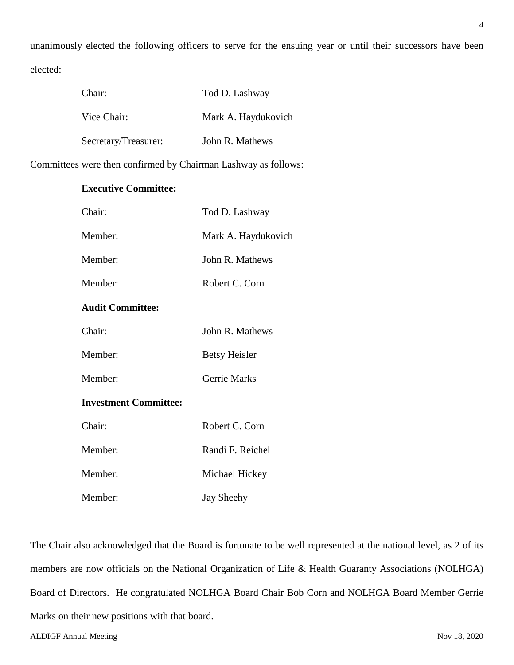unanimously elected the following officers to serve for the ensuing year or until their successors have been elected:

| Chair:               | Tod D. Lashway      |
|----------------------|---------------------|
| Vice Chair:          | Mark A. Haydukovich |
| Secretary/Treasurer: | John R. Mathews     |

Committees were then confirmed by Chairman Lashway as follows:

# **Executive Committee:**

| Chair:                       | Tod D. Lashway       |
|------------------------------|----------------------|
| Member:                      | Mark A. Haydukovich  |
| Member:                      | John R. Mathews      |
| Member:                      | Robert C. Corn       |
| <b>Audit Committee:</b>      |                      |
| Chair:                       | John R. Mathews      |
| Member:                      | <b>Betsy Heisler</b> |
| Member:                      | Gerrie Marks         |
| <b>Investment Committee:</b> |                      |
| Chair:                       | Robert C. Corn       |
| Member:                      | Randi F. Reichel     |
| Member:                      | Michael Hickey       |
| Member:                      | <b>Jay Sheehy</b>    |

The Chair also acknowledged that the Board is fortunate to be well represented at the national level, as 2 of its members are now officials on the National Organization of Life & Health Guaranty Associations (NOLHGA) Board of Directors. He congratulated NOLHGA Board Chair Bob Corn and NOLHGA Board Member Gerrie Marks on their new positions with that board.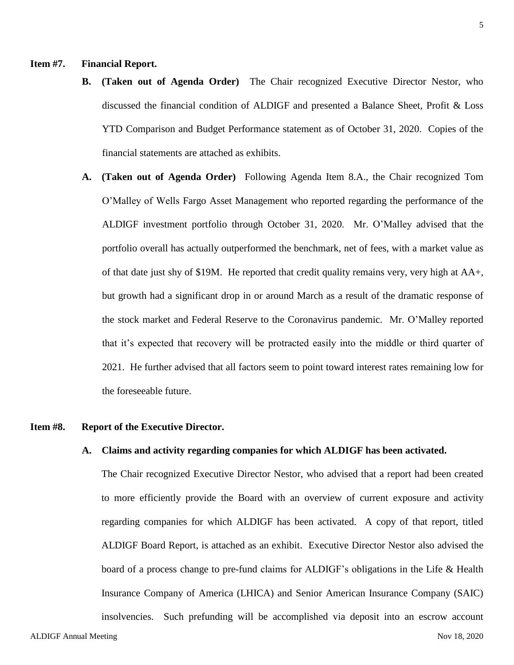#### **Item #7. Financial Report.**

- **B. (Taken out of Agenda Order)** The Chair recognized Executive Director Nestor, who discussed the financial condition of ALDIGF and presented a Balance Sheet, Profit & Loss YTD Comparison and Budget Performance statement as of October 31, 2020. Copies of the financial statements are attached as exhibits.
- **A. (Taken out of Agenda Order)** Following Agenda Item 8.A., the Chair recognized Tom O'Malley of Wells Fargo Asset Management who reported regarding the performance of the ALDIGF investment portfolio through October 31, 2020. Mr. O'Malley advised that the portfolio overall has actually outperformed the benchmark, net of fees, with a market value as of that date just shy of \$19M. He reported that credit quality remains very, very high at AA+, but growth had a significant drop in or around March as a result of the dramatic response of the stock market and Federal Reserve to the Coronavirus pandemic. Mr. O'Malley reported that it's expected that recovery will be protracted easily into the middle or third quarter of 2021. He further advised that all factors seem to point toward interest rates remaining low for the foreseeable future.

# **Item #8. Report of the Executive Director.**

#### **A. Claims and activity regarding companies for which ALDIGF has been activated.**

The Chair recognized Executive Director Nestor, who advised that a report had been created to more efficiently provide the Board with an overview of current exposure and activity regarding companies for which ALDIGF has been activated. A copy of that report, titled ALDIGF Board Report, is attached as an exhibit. Executive Director Nestor also advised the board of a process change to pre-fund claims for ALDIGF's obligations in the Life & Health Insurance Company of America (LHICA) and Senior American Insurance Company (SAIC) insolvencies. Such prefunding will be accomplished via deposit into an escrow account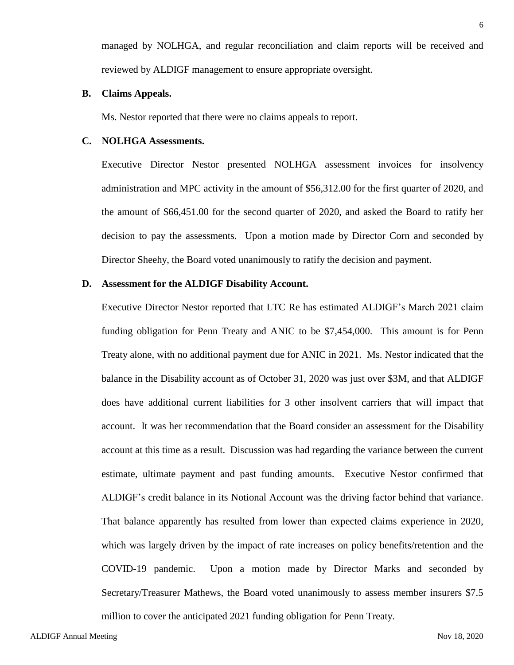managed by NOLHGA, and regular reconciliation and claim reports will be received and reviewed by ALDIGF management to ensure appropriate oversight.

#### **B. Claims Appeals.**

Ms. Nestor reported that there were no claims appeals to report.

#### **C. NOLHGA Assessments.**

Executive Director Nestor presented NOLHGA assessment invoices for insolvency administration and MPC activity in the amount of \$56,312.00 for the first quarter of 2020, and the amount of \$66,451.00 for the second quarter of 2020, and asked the Board to ratify her decision to pay the assessments. Upon a motion made by Director Corn and seconded by Director Sheehy, the Board voted unanimously to ratify the decision and payment.

#### **D. Assessment for the ALDIGF Disability Account.**

Executive Director Nestor reported that LTC Re has estimated ALDIGF's March 2021 claim funding obligation for Penn Treaty and ANIC to be \$7,454,000. This amount is for Penn Treaty alone, with no additional payment due for ANIC in 2021. Ms. Nestor indicated that the balance in the Disability account as of October 31, 2020 was just over \$3M, and that ALDIGF does have additional current liabilities for 3 other insolvent carriers that will impact that account. It was her recommendation that the Board consider an assessment for the Disability account at this time as a result. Discussion was had regarding the variance between the current estimate, ultimate payment and past funding amounts. Executive Nestor confirmed that ALDIGF's credit balance in its Notional Account was the driving factor behind that variance. That balance apparently has resulted from lower than expected claims experience in 2020, which was largely driven by the impact of rate increases on policy benefits/retention and the COVID-19 pandemic. Upon a motion made by Director Marks and seconded by Secretary/Treasurer Mathews, the Board voted unanimously to assess member insurers \$7.5 million to cover the anticipated 2021 funding obligation for Penn Treaty.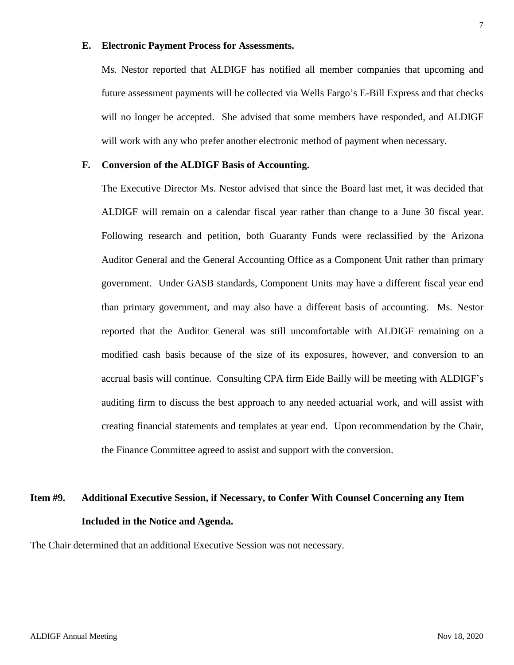#### **E. Electronic Payment Process for Assessments.**

Ms. Nestor reported that ALDIGF has notified all member companies that upcoming and future assessment payments will be collected via Wells Fargo's E-Bill Express and that checks will no longer be accepted. She advised that some members have responded, and ALDIGF will work with any who prefer another electronic method of payment when necessary.

#### **F. Conversion of the ALDIGF Basis of Accounting.**

The Executive Director Ms. Nestor advised that since the Board last met, it was decided that ALDIGF will remain on a calendar fiscal year rather than change to a June 30 fiscal year. Following research and petition, both Guaranty Funds were reclassified by the Arizona Auditor General and the General Accounting Office as a Component Unit rather than primary government. Under GASB standards, Component Units may have a different fiscal year end than primary government, and may also have a different basis of accounting. Ms. Nestor reported that the Auditor General was still uncomfortable with ALDIGF remaining on a modified cash basis because of the size of its exposures, however, and conversion to an accrual basis will continue. Consulting CPA firm Eide Bailly will be meeting with ALDIGF's auditing firm to discuss the best approach to any needed actuarial work, and will assist with creating financial statements and templates at year end. Upon recommendation by the Chair, the Finance Committee agreed to assist and support with the conversion.

# **Item #9. Additional Executive Session, if Necessary, to Confer With Counsel Concerning any Item Included in the Notice and Agenda.**

The Chair determined that an additional Executive Session was not necessary.